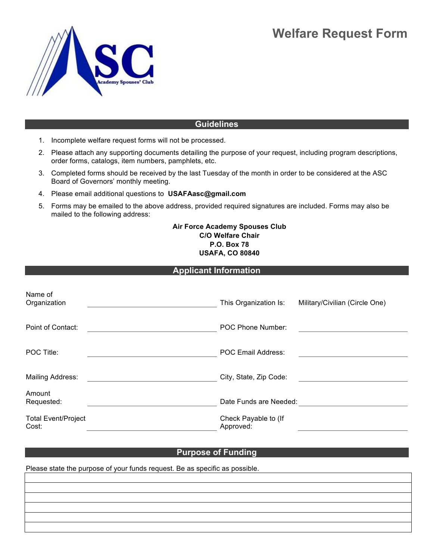# **Welfare Request Form**



## **Guidelines**

- 1. Incomplete welfare request forms will not be processed.
- 2. Please attach any supporting documents detailing the purpose of your request, including program descriptions, order forms, catalogs, item numbers, pamphlets, etc.
- 3. Completed forms should be received by the last Tuesday of the month in order to be considered at the ASC Board of Governors' monthly meeting.
- 4. Please email additional questions to **USAFAasc@gmail.com**
- 5. Forms may be emailed to the above address, provided required signatures are included. Forms may also be mailed to the following address:

#### **Air Force Academy Spouses Club C/O Welfare Chair P.O. Box 78 USAFA, CO 80840**

### **Applicant Information**

| Name of<br>Organization             | This Organization Is:             | Military/Civilian (Circle One) |
|-------------------------------------|-----------------------------------|--------------------------------|
| Point of Contact:                   | POC Phone Number:                 |                                |
| POC Title:                          | <b>POC Email Address:</b>         |                                |
| Mailing Address:                    | City, State, Zip Code:            |                                |
| Amount<br>Requested:                | Date Funds are Needed:            |                                |
| <b>Total Event/Project</b><br>Cost: | Check Payable to (If<br>Approved: |                                |

### **Purpose of Funding**

Please state the purpose of your funds request. Be as specific as possible.